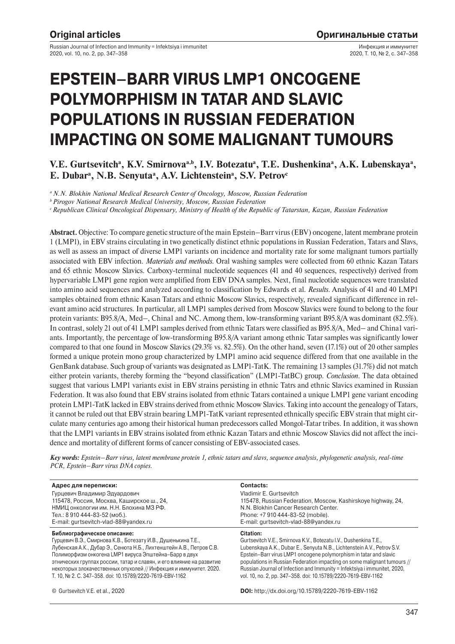Russian Journal of Infection and Immunity = Infektsiya i immunitet 2020, vol. 10, no. 2, pp. 347–358

Инфекция и иммунитет 2020, Т. 10, № 2, с. 347–358

# **EPSTEIN–BARR VIRUS LMP1 ONCOGENE POLYMORPHISM IN TATAR AND SLAVIC POPULATIONS IN RUSSIAN FEDERATION IMPACTING ON SOME MALIGNANT TUMOURS**

V.E. Gurtsevitch<sup>a</sup>, K.V. Smirnova<sup>a,b</sup>, I.V. Botezatu<sup>a</sup>, T.E. Dushenkina<sup>a</sup>, A.K. Lubenskaya<sup>a</sup>, E. Dubar<sup>a</sup>, N.B. Senyuta<sup>a</sup>, A.V. Lichtenstein<sup>a</sup>, S.V. Petrov<sup>c</sup>

*a N.N. Blokhin National Medical Research Center of Oncology, Moscow, Russian Federation*

*b Pirogov National Research Medical University, Moscow, Russian Federation*

*c Republican Clinical Oncological Dispensary, Ministry of Health of the Republic of Tatarstan, Kazan, Russian Federation*

**Abstract.** Objective: To compare genetic structure of the main Epstein–Barr virus (EBV) oncogene, latent membrane protein 1 (LMP1), in EBV strains circulating in two genetically distinct ethnic populations in Russian Federation, Tatars and Slavs, as well as assess an impact of diverse LMP1 variants on incidence and mortality rate for some malignant tumors partially associated with EBV infection. *Materials and methods.* Oral washing samples were collected from 60 ethnic Kazan Tatars and 65 ethnic Moscow Slavics. Carboxy-terminal nucleotide sequences (41 and 40 sequences, respectively) derived from hypervariable LMP1 gene region were amplified from EBV DNA samples. Next, final nucleotide sequences were translated into amino acid sequences and analyzed according to classification by Edwards et al. *Results.* Analysis of 41 and 40 LMP1 samples obtained from ethnic Kasan Tatars and ethnic Moscow Slavics, respectively, revealed significant difference in relevant amino acid structures. In particular, all LMP1 samples derived from Moscow Slavics were found to belong to the four protein variants: B95.8/A, Med–, China1 and NC. Among them, low-transforming variant B95.8/A was dominant (82.5%). In contrast, solely 21 out of 41 LMP1 samples derived from ethnic Tatars were classified as B95.8/A, Med– and China1 variants. Importantly, the percentage of low-transforming B95.8/A variant among ethnic Tatar samples was significantly lower compared to that one found in Moscow Slavics (29.3% vs. 82.5%). On the other hand, seven (17.1%) out of 20 other samples formed a unique protein mono group characterized by LMP1 amino acid sequence differed from that one available in the GenBank database. Such group of variants was designated as LMP1-TatK. The remaining 13 samples (31.7%) did not match either protein variants, thereby forming the "beyond classification" (LMP1-TatBC) group. *Conclusion.* The data obtained suggest that various LMP1 variants exist in EBV strains persisting in ethnic Tatrs and ethnic Slavics examined in Russian Federation. It was also found that EBV strains isolated from ethnic Tatars contained a unique LMP1 gene variant encoding protein LMP1-TatK lacked in EBV strains derived from ethnic Moscow Slavics. Taking into account the genealogy of Tatars, it cannot be ruled out that EBV strain bearing LMP1-TatK variant represented ethnically specific EBV strain that might circulate many centuries ago among their historical human predecessors called Mongol-Tatar tribes. In addition, it was shown that the LMP1 variants in EBV strains isolated from ethnic Kazan Tatars and ethnic Moscow Slavics did not affect the incidence and mortality of different forms of cancer consisting of EBV-associated cases.

*Key words: Epstein–Barr virus, latent membrane protein 1, ethnic tatars and slavs, sequence analysis, phylogenetic analysis, real-time PCR, Epstein–Barr virus DNA copies.*

| Адрес для переписки:                                                 | Contacts:                                                                 |
|----------------------------------------------------------------------|---------------------------------------------------------------------------|
| Гурцевич Владимир Эдуардович                                         | Vladimir E. Gurtsevitch                                                   |
| 115478, Россия, Москва, Каширское ш., 24,                            | 115478, Russian Federation, Moscow, Kashirskove highway, 24,              |
| НМИЦ онкологии им. Н.Н. Блохина МЗ РФ.                               | N.N. Blokhin Cancer Research Center.                                      |
| Тел.: 8 910 444-83-52 (моб.).                                        | Phone: +7 910 444-83-52 (mobile).                                         |
| E-mail: gurtsevitch-vlad-88@yandex.ru                                | E-mail: gurtsevitch-vlad-88@yandex.ru                                     |
| Библиографическое описание:                                          | Citation:                                                                 |
| Гурцевич В.Э., Смирнова К.В., Ботезату И.В., Душенькина Т.Е.,        | Gurtsevitch V.E., Smirnova K.V., Botezatu I.V., Dushenkina T.E.,          |
| Лубенская А.К., Дубар Э., Сенюта Н.Б., Лихтенштейн А.В., Петров С.В. | Lubenskaya A.K., Dubar E., Senyuta N.B., Lichtenstein A.V., Petrov S.V.   |
| Полиморфизм онкогена LMP1 вируса Эпштейна-Барр в двух                | Epstein-Barr virus LMP1 oncogene polymorphism in tatar and slavic         |
| этнических группах россии, татар и славян, и его влияние на развитие | populations in Russian Federation impacting on some malignant tumours //  |
| некоторых злокачественных опухолей // Инфекция и иммунитет. 2020.    | Russian Journal of Infection and Immunity = Infektsiya i immunitet, 2020, |
| T. 10, № 2. C. 347-358. doi: 10.15789/2220-7619-EBV-1162             | vol. 10, no. 2, pp. 347-358. doi: 10.15789/2220-7619-EBV-1162             |
| © Gurtsevitch V.E. et al., 2020                                      | <b>DOI:</b> http://dx.doi.org/10.15789/2220-7619-EBV-1162                 |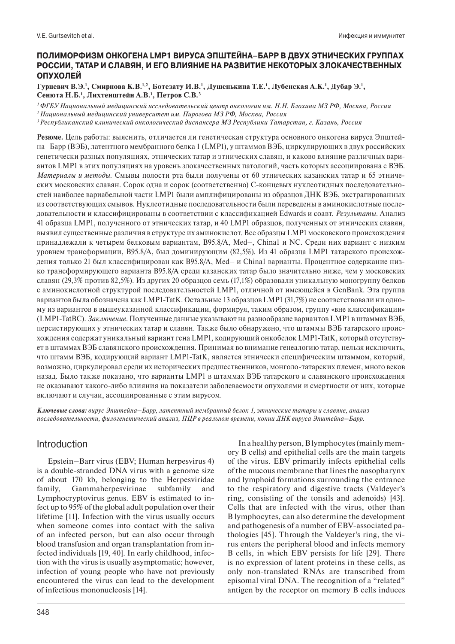# **ПОЛИМОРФИЗМ ОНКОГЕНА LMP1 ВИРУСА ЭПШТЕЙНА–БАРР В ДВУХ ЭТНИЧЕСКИХ ГРУППАХ РОССИИ, ТАТАР И СЛАВЯН, И ЕГО ВЛИЯНИЕ НА РАЗВИТИЕ НЕКОТОРЫХ ЗЛОКАЧЕСТВЕННЫХ ОПУХОЛЕЙ**

**Гурцевич В.Э.1 , Смирнова К.В.1,2, Ботезату И.В.1 , Душенькина Т.Е.1 , Лубенская А.К.1 , Дубар Э.1 , Сенюта Н.Б.1 , Лихтенштейн А.В.1 , Петров С.В.3**

*1 ФГБУ Национальный медицинский исследовательский центр онкологии им. Н.Н. Блохина МЗ РФ, Москва, Россия*

*2 Национальный медицинский университет им. Пирогова МЗ РФ, Москва, Россия*

*3 Республиканский клинический онкологический диспансера МЗ Республики Татарстан, г. Казань, Россия*

**Резюме.** Цель работы: выяснить, отличается ли генетическая структура основного онкогена вируса Эпштейна–Барр (ВЭБ), латентного мембранного белка 1 (LMP1), у штаммов ВЭБ, циркулирующих в двух российских генетически разных популяциях, этнических татар и этнических славян, и каково влияние различных вариантов LMP1 в этих популяциях на уровень злокачественных патологий, часть которых ассоциирована с ВЭБ. *Материалы и методы.* Смывы полости рта были получены от 60 этнических казанских татар и 65 этнических московских славян. Сорок одна и сорок (соответственно) С-концевых нуклеотидных последовательностей наиболее вариабельной части LMP1 были амплифицированы из образцов ДНК ВЭБ, экстрагированных из соответствующих смывов. Нуклеотидные последовательности были переведены в аминокислотные последовательности и классифицированы в соответствии с классификацией Edwards и соавт. *Результаты.* Анализ 41 образца LMP1, полученного от этнических татар, и 40 LMP1 образцов, полученных от этнических славян, выявил существенные различия в структуре их аминокислот. Все образцы LMP1 московского происхождения принадлежали к четырем белковым вариантам, B95.8/A, Med–, China1 и NC. Среди них вариант с низким уровнем трансформации, B95.8/A, был доминирующим (82,5%). Из 41 образца LMP1 татарского происхождения только 21 был классифицирован как B95.8/A, Med– и China1 варианты. Процентное содержание низко трансформирующего варианта B95.8/A среди казанских татар было значительно ниже, чем у московских славян (29,3% против 82,5%). Из других 20 образцов семь (17,1%) образовали уникальную моногруппу белков с аминокислотной структурой последовательностей LMP1, отличной от имеющейся в GenBank. Эта группа вариантов была обозначена как LMP1-TatK. Остальные 13 образцов LMP1 (31,7%) не соответствовали ни одному из вариантов в вышеуказанной классификации, формируя, таким образом, группу «вне классификации» (LMP1-TatBC). *Заключение.* Полученные данные указывают на разнообразие вариантов LMP1 в штаммах ВЭБ, персистирующих у этнических татар и славян. Также было обнаружено, что штаммы ВЭБ татарского происхождения содержат уникальный вариант гена LMP1, кодирующий онкобелок LMP1-TatK, который отсутствует в штаммах ВЭБ славянского происхождения. Принимая во внимание генеалогию татар, нельзя исключить, что штамм ВЭБ, кодирующий вариант LMP1-TatK, является этнически специфическим штаммом, который, возможно, циркулировал среди их исторических предшественников, монголо-татарских племен, много веков назад. Было также показано, что варианты LMP1 в штаммах ВЭБ татарского и славянского происхождения не оказывают какого-либо влияния на показатели заболеваемости опухолями и смертности от них, которые включают и случаи, ассоциированные с этим вирусом.

*Ключевые слова: вирус Эпштейна–Барр, латентный мембранный белок 1, этнические татары и славяне, анализ последовательности, филогенетический анализ, ПЦР в реальном времени, копии ДНК вируса Эпштейна–Барр.*

# Introduction

Epstein–Barr virus (EBV; Human herpesvirus 4) is a double-stranded DNA virus with a genome size of about 170 kb, belonging to the Herpesviridae family, Gammaherpesvirinae subfamily and Lymphocryptovirus genus. EBV is estimated to infect up to 95% of the global adult population over their lifetime [11]. Infection with the virus usually occurs when someone comes into contact with the saliva of an infected person, but can also occur through blood transfusion and organ transplantation from infected individuals [19, 40]. In early childhood, infection with the virus is usually asymptomatic; however, infection of young people who have not previously encountered the virus can lead to the development of infectious mononucleosis [14].

In a healthy person, B lymphocytes (mainly memory B cells) and epithelial cells are the main targets of the virus. EBV primarily infects epithelial cells of the mucous membrane that lines the nasopharynx and lymphoid formations surrounding the entrance to the respiratory and digestive tracts (Valdeyer's ring, consisting of the tonsils and adenoids) [43]. Cells that are infected with the virus, other than B lymphocytes, can also determine the development and pathogenesis of a number of EBV-associated pathologies [45]. Through the Valdeyer's ring, the virus enters the peripheral blood and infects memory B cells, in which EBV persists for life [29]. There is no expression of latent proteins in these cells, as only non-translated RNAs are transcribed from episomal viral DNA. The recognition of a "related" antigen by the receptor on memory B cells induces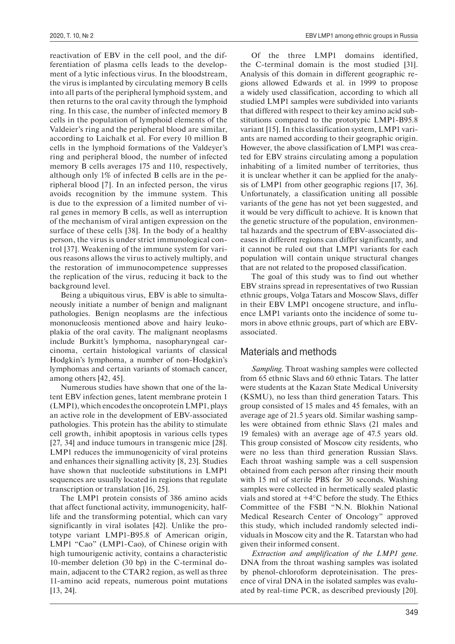reactivation of EBV in the cell pool, and the differentiation of plasma cells leads to the development of a lytic infectious virus. In the bloodstream, the virus is implanted by circulating memory B cells into all parts of the peripheral lymphoid system, and then returns to the oral cavity through the lymphoid ring. In this case, the number of infected memory B cells in the population of lymphoid elements of the Valdeier's ring and the peripheral blood are similar, according to Laichalk et al. For every 10 million B cells in the lymphoid formations of the Valdeyer's ring and peripheral blood, the number of infected memory B cells averages 175 and 110, respectively, although only 1% of infected B cells are in the peripheral blood [7]. In an infected person, the virus avoids recognition by the immune system. This is due to the expression of a limited number of viral genes in memory B cells, as well as interruption of the mechanism of viral antigen expression on the surface of these cells [38]. In the body of a healthy person, the virus is under strict immunological control [37]. Weakening of the immune system for various reasons allows the virus to actively multiply, and the restoration of immunocompetence suppresses the replication of the virus, reducing it back to the background level.

Being a ubiquitous virus, EBV is able to simultaneously initiate a number of benign and malignant pathologies. Benign neoplasms are the infectious mononucleosis mentioned above and hairy leukoplakia of the oral cavity. The malignant neoplasms include Burkitt's lymphoma, nasopharyngeal carcinoma, certain histological variants of classical Hodgkin's lymphoma, a number of non-Hodgkin's lymphomas and certain variants of stomach cancer, among others [42, 45].

Numerous studies have shown that one of the latent EBV infection genes, latent membrane protein 1 (LMP1), which encodes the oncoprotein LMP1, plays an active role in the development of EBV-associated pathologies. This protein has the ability to stimulate cell growth, inhibit apoptosis in various cells types [27, 34] and induce tumours in transgenic mice [28]. LMP1 reduces the immunogenicity of viral proteins and enhances their signalling activity [8, 23]. Studies have shown that nucleotide substitutions in LMP1 sequences are usually located in regions that regulate transcription or translation [16, 25].

The LMP1 protein consists of 386 amino acids that affect functional activity, immunogenicity, halflife and the transforming potential, which can vary significantly in viral isolates [42]. Unlike the prototype variant LMP1-B95.8 of American origin, LMP1 "Cao" (LMP1-Cao), of Chinese origin with high tumourigenic activity, contains a characteristic 10-member deletion (30 bp) in the C-terminal domain, adjacent to the CTAR2 region, as well as three 11-amino acid repeats, numerous point mutations [13, 24].

Of the three LMP1 domains identified, the C-terminal domain is the most studied [31]. Analysis of this domain in different geographic regions allowed Edwards et al. in 1999 to propose a widely used classification, according to which all studied LMP1 samples were subdivided into variants that differed with respect to their key amino acid substitutions compared to the prototypic LMP1-B95.8 variant [15]. In this classification system, LMP1 variants are named according to their geographic origin. However, the above classification of LMP1 was created for EBV strains circulating among a population inhabiting of a limited number of territories, thus it is unclear whether it can be applied for the analysis of LMP1 from other geographic regions [17, 36]. Unfortunately, a classification uniting all possible variants of the gene has not yet been suggested, and it would be very difficult to achieve. It is known that the genetic structure of the population, environmental hazards and the spectrum of EBV-associated diseases in different regions can differ significantly, and it cannot be ruled out that LMP1 variants for each population will contain unique structural changes that are not related to the proposed classification.

The goal of this study was to find out whether EBV strains spread in representatives of two Russian ethnic groups, Volga Tatars and Moscow Slavs, differ in their EBV LMP1 oncogene structure, and influence LMP1 variants onto the incidence of some tumors in above ethnic groups, part of which are EBVassociated.

# Materials and methods

*Sampling.* Throat washing samples were collected from 65 ethnic Slavs and 60 ethnic Tatars. The latter were students at the Kazan State Medical University (KSMU), no less than third generation Tatars. This group consisted of 15 males and 45 females, with an average age of 21.5 years old. Similar washing samples were obtained from ethnic Slavs (21 males and 19 females) with an average age of 47.5 years old. This group consisted of Moscow city residents, who were no less than third generation Russian Slavs. Each throat washing sample was a cell suspension obtained from each person after rinsing their mouth with 15 ml of sterile PBS for 30 seconds. Washing samples were collected in hermetically sealed plastic vials and stored at +4°C before the study. The Ethics Committee of the FSBI "N.N. Blokhin National Medical Research Center of Oncology" approved this study, which included randomly selected individuals in Moscow city and the R. Tatarstan who had given their informed consent.

*Extraction and amplification of the LMP1 gene.*  DNA from the throat washing samples was isolated by phenol-chloroform deproteinisation. The presence of viral DNA in the isolated samples was evaluated by real-time PCR, as described previously [20].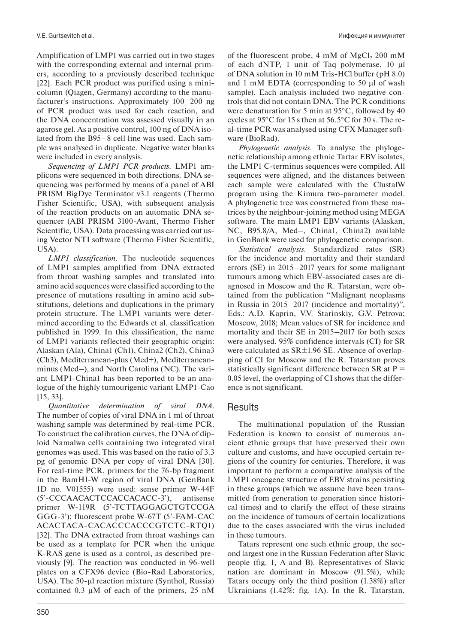Amplification of LMP1 was carried out in two stages with the corresponding external and internal primers, according to a previously described technique [22]. Each PCR product was purified using a minicolumn (Qiagen, Germany) according to the manufacturer's instructions. Approximately 100–200 ng of PCR product was used for each reaction, and the DNA concentration was assessed visually in an agarose gel. As a positive control, 100 ng of DNA isolated from the B95–8 cell line was used. Each sample was analysed in duplicate. Negative water blanks were included in every analysis.

*Sequencing of LMP1 PCR products.* LMP1 amplicons were sequenced in both directions. DNA sequencing was performed by means of a panel of ABI PRISM BigDye Terminator v3.1 reagents (Thermo Fisher Scientific, USA), with subsequent analysis of the reaction products on an automatic DNA sequencer (ABI PRISM 3100-Avant, Thermo Fisher Scientific, USA). Data processing was carried out using Vector NTI software (Thermo Fisher Scientific, USA).

*LMP1 classification.* The nucleotide sequences of LMP1 samples amplified from DNA extracted from throat washing samples and translated into amino acid sequences were classified according to the presence of mutations resulting in amino acid substitutions, deletions and duplications in the primary protein structure. The LMP1 variants were determined according to the Edwards et al. classification published in 1999. In this classification, the name of LMP1 variants reflected their geographic origin: Alaskan (Ala), China1 (Ch1), China2 (Ch2), China3 (Ch3), Mediterranean-plus (Med+), Mediterraneanminus (Med–), and North Carolina (NC). The variant LMP1-China1 has been reported to be an analogue of the highly tumourigenic variant LMP1-Cao [15, 33].

*Quantitative determination of viral DNA.*  The number of copies of viral DNA in 1 ml of throat washing sample was determined by real-time PCR. To construct the calibration curves, the DNA of diploid Namalwa cells containing two integrated viral genomes was used. This was based on the ratio of 3.3 pg of genomic DNA per copy of viral DNA [30]. For real-time PCR, primers for the 76-bp fragment in the BamHI-W region of viral DNA (GenBank ID no. V01555) were used: sense primer W-44F (5'-CCCAACACTCCACCACACC-3'), antisense primer W-119R (5'-TCTTAGGAGCTGTCCGA GGG-3'); fluorescent probe W-67T (5'-FAM-CAC ACACTACA-CACACCCACCCGTCTC-RTQ1) [32]. The DNA extracted from throat washings can be used as a template for PCR when the unique K-RAS gene is used as a control, as described previously [9]. The reaction was conducted in 96-well plates on a CFX96 device (Bio-Rad Laboratories, USA). The 50-μl reaction mixture (Synthol, Russia) contained 0.3 μM of each of the primers, 25 nM

of the fluorescent probe,  $4 \text{ mM of } MgCl_2$  200 mM of each dNTP, 1 unit of Taq polymerase, 10 μl of DNA solution in 10 mM Tris-HCl buffer (pH 8.0) and 1 mM EDTA (corresponding to 50 μl of wash sample). Each analysis included two negative controls that did not contain DNA. The PCR conditions were denaturation for 5 min at 95°C, followed by 40 cycles at 95°C for 15 s then at 56.5°C for 30 s. The real-time PCR was analysed using CFX Manager software (BioRad).

*Phylogenetic analysis.* To analyse the phylogenetic relationship among ethnic Tartar EBV isolates, the LMP1 C-terminus sequences were compiled. All sequences were aligned, and the distances between each sample were calculated with the ClustalW program using the Kimura two-parameter model. A phylogenetic tree was constructed from these matrices by the neighbour-joining method using MEGA software. The main LMP1 EBV variants (Alaskan, NC, B95.8/A, Med–, China1, China2) available in GenBank were used for phylogenetic comparison.

*Statistical analysis.* Standardized rates (SR) for the incidence and mortality and their standard errors (SE) in 2015–2017 years for some malignant tumours among which EBV-associated cases are diagnosed in Moscow and the R. Tatarstan, were obtained from the publication "Malignant neoplasms in Russia in 2015–2017 (incidence and mortality)", Eds.: А.D. Kaprin, V.V. Starinskiy, G.V. Petrova; Moscow, 2018; Mean values of SR for incidence and mortality and their SE in 2015–2017 for both sexes were analysed. 95% confidence intervals (CI) for SR were calculated as SR±1.96 SE. Absence of overlapping of CI for Moscow and the R. Tatarstan proves statistically significant difference between  $SR$  at  $P =$ 0.05 level, the overlapping of CI shows that the difference is not significant.

# Results

The multinational population of the Russian Federation is known to consist of numerous ancient ethnic groups that have preserved their own culture and customs, and have occupied certain regions of the country for centuries. Therefore, it was important to perform a comparative analysis of the LMP1 oncogene structure of EBV strains persisting in these groups (which we assume have been transmitted from generation to generation since historical times) and to clarify the effect of these strains on the incidence of tumours of certain localizations due to the cases associated with the virus included in these tumours.

Tatars represent one such ethnic group, the second largest one in the Russian Federation after Slavic people (fig. 1, A and B). Representatives of Slavic nation are dominant in Moscow (91.5%), while Tatars occupy only the third position (1.38%) after Ukrainians (1.42%; fig. 1A). In the R. Tatarstan,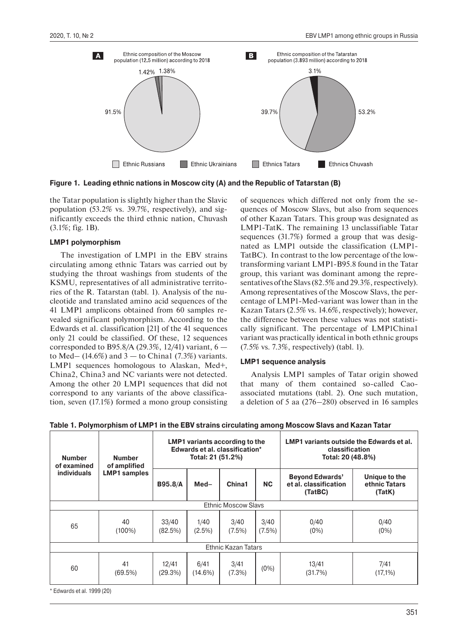

**Figure 1. Leading ethnic nations in Moscow city (A) and the Republic of Tatarstan (B)**

the Tatar population is slightly higher than the Slavic population (53.2% vs. 39.7%, respectively), and significantly exceeds the third ethnic nation, Chuvash (3.1%; fig. 1B).

## **LMP1 polymorphism**

The investigation of LMP1 in the EBV strains circulating among ethnic Tatars was carried out by studying the throat washings from students of the KSMU, representatives of all administrative territories of the R. Tatarstan (tabl. 1). Analysis of the nucleotide and translated amino acid sequences of the 41 LMP1 amplicons obtained from 60 samples revealed significant polymorphism. According to the Edwards et al. classification [21] of the 41 sequences only 21 could be classified. Of these, 12 sequences corresponded to B95.8/A (29.3%, 12/41) variant,  $6$ to Med–  $(14.6\%)$  and  $3$  – to Chinal  $(7.3\%)$  variants. LMP1 sequences homologous to Alaskan, Med+, Chinа2, China3 and NC variants were not detected. Among the other 20 LMP1 sequences that did not correspond to any variants of the above classification, seven (17.1%) formed a mono group consisting of sequences which differed not only from the sequences of Moscow Slavs, but also from sequences of other Kazan Tatars. This group was designated as LMP1-TatK. The remaining 13 unclassifiable Tatar sequences (31.7%) formed a group that was designated as LMP1 outside the classification (LMP1- TatBC). In contrast to the low percentage of the lowtransforming variant LMP1-B95.8 found in the Tatar group, this variant was dominant among the representatives of the Slavs (82.5% and 29.3%, respectively). Among representatives of the Moscow Slavs, the percentage of LMP1-Med-variant was lower than in the Kazan Tatars (2.5% vs. 14.6%, respectively); however, the difference between these values was not statistically significant. The percentage of LMP1China1 variant was practically identical in both ethnic groups (7.5% vs. 7.3%, respectively) (tabl. 1).

## **LMP1 sequence analysis**

Analysis LMP1 samples of Tatar origin showed that many of them contained so-called Caoassociated mutations (tabl. 2). One such mutation, a deletion of 5 aa (276–280) observed in 16 samples

| Table 1. Polymorphism of LMP1 in the EBV strains circulating among Moscow Slavs and Kazan Tatar |  |  |  |
|-------------------------------------------------------------------------------------------------|--|--|--|
|-------------------------------------------------------------------------------------------------|--|--|--|

| <b>Number</b><br>of examined | <b>Number</b><br>of amplified | LMP1 variants according to the<br>Edwards et al. classification*<br>Total: 21 (51.2%) |                    |                            |                   | <b>LMP1</b> variants outside the Edwards et al.<br>classification<br>Total: 20 (48.8%) |                                          |
|------------------------------|-------------------------------|---------------------------------------------------------------------------------------|--------------------|----------------------------|-------------------|----------------------------------------------------------------------------------------|------------------------------------------|
| <b>individuals</b>           | <b>LMP1</b> samples           | <b>B95.8/A</b>                                                                        | $Med-$             | China1                     | <b>NC</b>         | <b>Beyond Edwards'</b><br>et al. classification<br>(TatBC)                             | Unique to the<br>ethnic Tatars<br>(TatK) |
|                              |                               |                                                                                       |                    | <b>Ethnic Moscow Slavs</b> |                   |                                                                                        |                                          |
| 65                           | 40<br>$(100\%)$               | 33/40<br>(82.5%)                                                                      | 1/40<br>$(2.5\%)$  | 3/40<br>$(7.5\%)$          | 3/40<br>$(7.5\%)$ | 0/40<br>$(0\%)$                                                                        | 0/40<br>$(0\%)$                          |
|                              |                               |                                                                                       |                    | Ethnic Kazan Tatars        |                   |                                                                                        |                                          |
| 60                           | 41<br>(69.5%)                 | 12/41<br>(29.3%)                                                                      | 6/41<br>$(14.6\%)$ | 3/41<br>(7.3%)             | $(0\%)$           | 13/41<br>(31.7%)                                                                       | 7/41<br>$(17,1\%)$                       |

\* Edwards et al. 1999 (20)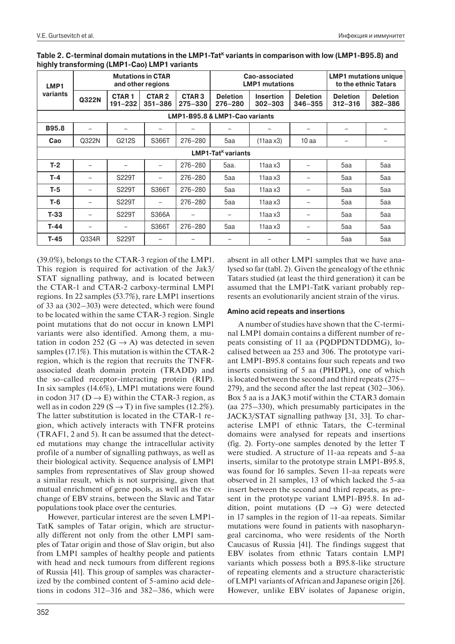| LMP1<br>variants | <b>Mutations in CTAR</b><br>and other regions |                             |                                  | Cao-associated<br><b>LMP1 mutations</b> |                                      |                                 | <b>LMP1</b> mutations unique<br>to the ethnic Tatars |                                |                            |
|------------------|-----------------------------------------------|-----------------------------|----------------------------------|-----------------------------------------|--------------------------------------|---------------------------------|------------------------------------------------------|--------------------------------|----------------------------|
|                  | Q322N                                         | <b>CTAR1</b><br>$191 - 232$ | CTAR <sub>2</sub><br>$351 - 386$ | <b>CTAR3</b><br>$275 - 330$             | <b>Deletion</b><br>276-280           | <b>Insertion</b><br>$302 - 303$ | <b>Deletion</b><br>$346 - 355$                       | <b>Deletion</b><br>$312 - 316$ | <b>Deletion</b><br>382-386 |
|                  |                                               |                             |                                  |                                         | LMP1-B95.8 & LMP1-Cao variants       |                                 |                                                      |                                |                            |
| <b>B95.8</b>     |                                               |                             | —                                |                                         |                                      |                                 | $\overline{\phantom{0}}$                             |                                |                            |
| Cao              | Q322N                                         | G212S                       | S366T                            | 276-280                                 | 5aa                                  | $(11aa \times 3)$               | 10 <sub>aa</sub>                                     |                                |                            |
|                  |                                               |                             |                                  |                                         | <b>LMP1-Tat<sup>k</sup> variants</b> |                                 |                                                      |                                |                            |
| $T-2$            |                                               | $\qquad \qquad$             | $\overline{\phantom{0}}$         | 276-280                                 | 5aa.                                 | $11$ aa x $3$                   |                                                      | 5aa                            | 5aa                        |
| $T-4$            |                                               | S229T                       | $\overline{\phantom{0}}$         | $276 - 280$                             | 5aa                                  | $11$ aa x $3$                   |                                                      | 5aa                            | 5aa                        |
| T-5              |                                               | S229T                       | S366T                            | 276-280                                 | 5aa                                  | $11$ aa x $3$                   | $\overline{\phantom{0}}$                             | 5aa                            | 5aa                        |
| $T-6$            |                                               | S229T                       | $\overline{\phantom{0}}$         | 276-280                                 | 5aa                                  | $11$ aa x $3$                   |                                                      | 5aa                            | 5aa                        |
| $T-33$           |                                               | S229T                       | S366A                            |                                         |                                      | $11$ aa x $3$                   |                                                      | 5aa                            | 5aa                        |
| $T-44$           | $\overline{\phantom{0}}$                      | $\qquad \qquad$             | S366T                            | 276-280                                 | 5aa                                  | $11$ aa x $3$                   | -                                                    | 5aa                            | 5aa                        |
| $T-45$           | Q334R                                         | S229T                       |                                  |                                         |                                      |                                 |                                                      | 5aa                            | 5aa                        |

| Table 2. C-terminal domain mutations in the LMP1-Tat <sup>k</sup> variants in comparison with low (LMP1-B95.8) and |
|--------------------------------------------------------------------------------------------------------------------|
| highly transforming (LMP1-Cao) LMP1 variants                                                                       |

(39.0%), belongs to the CTAR-3 region of the LMP1. This region is required for activation of the Jak3/ STAT signalling pathway, and is located between the CTAR-1 and CTAR-2 carboxy-terminal LMP1 regions. In 22 samples (53.7%), rare LMP1 insertions of 33 aa (302–303) were detected, which were found to be located within the same CTAR-3 region. Single point mutations that do not occur in known LMP1 variants were also identified. Among them, a mutation in codon 252 (G  $\rightarrow$  A) was detected in seven samples (17.1%). This mutation is within the CTAR-2 region, which is the region that recruits the TNFRassociated death domain protein (TRADD) and the so-called receptor-interacting protein (RIP). In six samples (14.6%), LMP1 mutations were found in codon 317 ( $D \rightarrow E$ ) within the CTAR-3 region, as well as in codon 229 (S  $\rightarrow$  T) in five samples (12.2%). The latter substitution is located in the CTAR-1 region, which actively interacts with TNFR proteins (TRAF1, 2 and 5). It can be assumed that the detected mutations may change the intracellular activity profile of a number of signalling pathways, as well as their biological activity. Sequence analysis of LMP1 samples from representatives of Slav group showed a similar result, which is not surprising, given that mutual enrichment of gene pools, as well as the exchange of EBV strains, between the Slavic and Tatar populations took place over the centuries.

However, particular interest are the seven LMP1- TatK samples of Tatar origin, which are structurally different not only from the other LMP1 samples of Tatar origin and those of Slav origin, but also from LMP1 samples of healthy people and patients with head and neck tumours from different regions of Russia [41]. This group of samples was characterized by the combined content of 5-amino acid deletions in codons 312–316 and 382–386, which were

absent in all other LMP1 samples that we have analysed so far (tabl. 2). Given the genealogy of the ethnic Tatars studied (at least the third generation) it can be assumed that the LMP1-TatK variant probably represents an evolutionarily ancient strain of the virus.

## **Amino acid repeats and insertions**

A number of studies have shown that the C-terminal LMP1 domain contains a different number of repeats consisting of 11 aa (PQDPDNTDDMG), localised between aa 253 and 306. The prototype variant LMP1-B95.8 contains four such repeats and two inserts consisting of 5 aa (PHDPL), one of which is located between the second and third repeats (275– 279), and the second after the last repeat (302–306). Box 5 aa is a JAK3 motif within the CTAR3 domain (aa 275–330), which presumably participates in the JACK3/STAT signalling pathway [31, 33]. To characterise LMP1 of ethnic Tatars, the C-terminal domains were analysed for repeats and insertions (fig. 2). Forty-one samples denoted by the letter T were studied. A structure of 11-aa repeats and 5-aa inserts, similar to the prototype strain LMP1-B95.8, was found for 16 samples. Seven 11-aa repeats were observed in 21 samples, 13 of which lacked the 5-aa insert between the second and third repeats, as present in the prototype variant LMP1-B95.8. In addition, point mutations ( $D \rightarrow G$ ) were detected in 17 samples in the region of 11-aa repeats. Similar mutations were found in patients with nasopharyngeal carcinoma, who were residents of the North Caucasus of Russia [41]. The findings suggest that EBV isolates from ethnic Tatars contain LMP1 variants which possess both a B95.8-like structure of repeating elements and a structure characteristic of LMP1 variants of African and Japanese origin [26]. However, unlike EBV isolates of Japanese origin,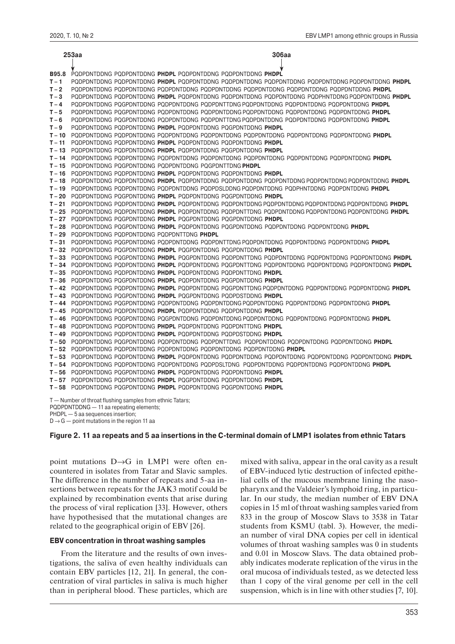|              | 253aa                                                                                                                                     | 306aa                                                                                                                |
|--------------|-------------------------------------------------------------------------------------------------------------------------------------------|----------------------------------------------------------------------------------------------------------------------|
|              |                                                                                                                                           |                                                                                                                      |
| <b>B95.8</b> |                                                                                                                                           | PODPDNTDDNG PODPDNTDDNG PHDPL PODPDNTDDNG PODPDNTDDNG PHDPL                                                          |
| $T - 1$      |                                                                                                                                           | PQDPDNTDDNG PQDPDNTDDNG PHDPL PQDPDNTDDNG PQDPDNTDDNG PQDPDNTDDNG PQDPDNTDDNG PQDPDNTDDNG PHDPL                      |
| $T - 2$      |                                                                                                                                           | PQDPDNTDDNG PQDPDNTDDNG PQDPDNTDDNG PQDPDNTDDNG PQDPDNTDDNG PQDPDNTDDNG PQDPDNTDDNG PHDPL                            |
| $T - 3$      |                                                                                                                                           | PODPDNTDDNG PODPDNTDDNG PHDPL PODPDNTDDNG PODPDNTDDNG PODPDNTDDNG PODPHNTDDNG PODPDNTDDNG PHDPL                      |
|              |                                                                                                                                           |                                                                                                                      |
| $T - 4$      |                                                                                                                                           | PQDPDNTDDNG PQGPDNTDDNG PQDPDNTDDNG PQDPDNTTDNG PQDPDNTDDNG PQDPDNTDDNG PQDPDNTDDNG PHDPL                            |
| $T - 5$      |                                                                                                                                           | PQDPDNTDDNG PQGPDNTDDNG PQDPDNTDDNG PQDPDNTDDNG PQDPDNTDDNG PQDPDNTDDNG PQDPDNTDDNG <b>PHDPL</b>                     |
| $T - 6$      |                                                                                                                                           | PODPDNTDDNG POGPDNTDDNG PODPDNTDDNG PODPDNTTDNG PODPDNTDDNG PODPDNTDDNG PODPDNTDDNG <b>PHDPL</b>                     |
| $T - 9$      |                                                                                                                                           | PQDPDNTDDNG PQDPDNTDDNG PHDPL PQDPDNTDDNG PQGPDNTDDNG PHDPL                                                          |
| $T - 10$     |                                                                                                                                           | PQDPDNTDDNG PQDPDNTDDNG PQDPDNTDDNG PQDPDNTDDNG PQDPDNTDDNG PQDPDNTDDNG PQDPDNTDDNG PHDPL                            |
| $T - 11$     |                                                                                                                                           | PQDPDNTDDNG PQDPDNTDDNG PHDPL PQDPDNTDDNG PQDPDNTDDNG PHDPL                                                          |
|              |                                                                                                                                           | T-13 PODPDNTDDNG PODPDNTDDNG PHDPL PODPDNTDDNG POGPDNTDDNG PHDPL                                                     |
|              |                                                                                                                                           | T - 14 PQDPDNTDDNG PQDPDNTDDNG PQDPDNTDDNG PQDPDNTDDNG PQDPDNTDDNG PQDPDNTDDNG PQDPDNTDDNG <b>PHDPL</b>              |
|              |                                                                                                                                           | T-15 PQDPDNTDDNG PQGPDNTDDNG PQDPDNTDDNG PQGPDNTTDNG PHDPL                                                           |
|              |                                                                                                                                           | T-16 PODPDNTDDNG PODPDNTDDNG PHDPL PODPDNTDDNG PODPDNTDDNG PHDPL                                                     |
|              |                                                                                                                                           | T – 18 PQDPDNTDDNG PQDPDNTDDNG <b>PHDPL</b> PQDPDNTDDNG PQDPDNTDDNG PQDPDNTDDNG PQDPDNTDDNG PQDPDNTDDNG <b>PHDPL</b> |
|              |                                                                                                                                           | T - 19 PQDPDNTDDNG PQDPDNTDDNG PQDPDNTDDNG PQDPDSLDDNG PQDPDNTDDNG PQDPHNTDDNG PQDPDNTDDNG PHDPL                     |
|              |                                                                                                                                           | T-20 PQDPDNTDDNG PQGPDNTDDNG PHDPL PQDPDNTDDNG PQGPDNTDDNG PHDPL                                                     |
|              |                                                                                                                                           | T - 21 PQDPDNTDDNG PQDPDNTDDNG PHDPL PQDPDNTDDNG PQDPDNTDDNG PQDPDNTDDNG PQDPDNTDDNG PQDPDNTDDNG PHDPL               |
|              |                                                                                                                                           | T - 25 PQDPDNTDDNG PQDPDNTDDNG PHDPL PQDPDNTDDNG PQDPDNTTDNG PQDPDNTDDNG PQDPDNTDDNG PQDPDNTDDNG PHDPL               |
|              |                                                                                                                                           | T-27 PQDPDNTDDNG PQGPDNTDDNG PHDPL PQGPDNTDDNG PQGPDNTDDNG PHDPL                                                     |
|              |                                                                                                                                           | T-28 PQDPDNTDDNG PQGPDNTDDNG PHDPL PQDPDNTDDNG PQGPDNTDDNG PQDPDNTDDNG PQDPDNTDDNG PHDPL                             |
|              | T-29 PQDPDNTDDNG PQDPDNTDDNG PQDPDNTTDNG PHDPL                                                                                            |                                                                                                                      |
|              |                                                                                                                                           | T - 31 PQDPDNTDDNG PQGPDNTDDNG PQDPDNTDDNG PQDPDNTTDNG PQDPDNTDDNG PQDPDNTDDNG PQDPDNTDDNG PHDPL                     |
|              |                                                                                                                                           | T-32 PQDPDNTDDNG PQGPDNTDDNG PHDPL PQGPDNTDDNG PQGPDNTDDNG PHDPL                                                     |
|              |                                                                                                                                           | T-33 PODPDNTDDNG POGPDNTDDNG PHDPL POGPDNTDDNG PODPDNTTDNG PODPDNTDDNG PODPDNTDDNG PODPDNTDDNG PHDPL                 |
|              |                                                                                                                                           | T – 34 PODPDNTDDNG PODPDNTDDNG <b>PHDPL</b> PODPDNTDDNG POGPDNTTDNG PODPDNTDDNG PODPDNTDDNG PODPDNTDDNG <b>PHDPL</b> |
|              |                                                                                                                                           | T-35 PQDPDNTDDNG PQDPDNTDDNG PHDPL PQDPDNTDDNG PQDPDNTTDNG PHDPL                                                     |
|              |                                                                                                                                           | T-36 PQDPDNTDDNG PQGPDNTDDNG PHDPL PQDPDNTDDNG PQGPDNTDDNG PHDPL                                                     |
|              |                                                                                                                                           | T - 42 PQDPDNTDDNG PQDPDNTDDNG PHDPL PQDPDNTDDNG PQGPDNTTDNG PQDPDNTDDNG PQDPDNTDDNG PQDPDNTDDNG PHDPL               |
|              |                                                                                                                                           | T-43 PQDPDNTDDNG PQGPDNTDDNG PHDPL PQGPDNTDDNG PQDPDSTDDNG PHDPL                                                     |
|              |                                                                                                                                           | T - 44 PQDPDNTDDNG PQGPDNTDDNG PQDPDNTDDNG PQDPDNTDDNG PQDPDNTDDNG PQDPDNTDDNG PQDPDNTDDNG PHDPL                     |
|              |                                                                                                                                           | T-45 PQDPDNTDDNG PQDPDNTDDNG PHDPL PQDPDNTDDNG PQDPDNTDDNG PHDPL                                                     |
|              |                                                                                                                                           | T-46 PQDPDNTDDNG PQGPDNTDDNG PQGPDNTDDNG PQDPDNTDDNG PQDPDNTDDNG PQDPDNTDDNG PQDPDNTDDNG PHDPL                       |
|              |                                                                                                                                           | T-48 PODPDNTDDNG PODPDNTDDNG PHDPL PODPDNTDDNG PODPDNTTDNG PHDPL                                                     |
|              |                                                                                                                                           | T-49 PODPDNTDDNG PODPDNTDDNG PHDPL PODPDNTDDNG PODPDSTDDNG PHDPL                                                     |
|              |                                                                                                                                           | T-50 PQDPDNTDDNG PQGPDNTDDNG PQDPDNTDDNG PQDPDNTTDNG PQDPDNTDDNG PQDPDNTDDNG PQDPDNTDDNG PHDPL                       |
|              |                                                                                                                                           | T-52 PQDPDNTDDNG PQDPDNTDDNG PQDPDNTDDNG PQDPDNTDDNG PQDPDNTDDNG PHDPL                                               |
|              |                                                                                                                                           | T-53 PODPDNTDDNG PODPDNTDDNG PHDPL PODPDNTDDNG PODPDNTDDNG PODPDNTDDNG PODPDNTDDNG PODPDNTDDNG PHDPL                 |
|              |                                                                                                                                           | T-54 PQDPDNTDDNG PQDPDNTDDNG PQDPDNTDDNG PQDPDSLTDNG PQDPDNTDDNG PQDPDNTDDNG PQDPDNTDDNG PHDPL                       |
|              |                                                                                                                                           | T-56 PQDPDNTDDNG PQGPDNTDDNG PHDPL PQDPDNTDDNG PQDPDNTDDNG PHDPL                                                     |
|              |                                                                                                                                           | T-57 PODPDNTDDNG PODPDNTDDNG PHDPL POGPDNTDDNG PODPDNTDDNG PHDPL                                                     |
|              |                                                                                                                                           | T-58 PODPDNTDDNG POGPDNTDDNG PHDPL PODPDNTDDNG POGPDNTDDNG PHDPL                                                     |
|              | T - Number of throat flushing samples from ethnic Tatars;<br>PQDPDNTDDNG - 11 aa repeating elements;<br>PHDPL - 5 aa sequences insertion; |                                                                                                                      |

 $D \rightarrow G$  — point mutations in the region 11 aa

## **Figure 2. 11 aa repeats and 5 aa insertions in the C-terminal domain of LMP1 isolates from ethnic Tatars**

point mutations D→G in LMP1 were often encountered in isolates from Tatar and Slavic samples. The difference in the number of repeats and 5-aa insertions between repeats for the JAK3 motif could be explained by recombination events that arise during the process of viral replication [33]. However, others have hypothesised that the mutational changes are related to the geographical origin of EBV [26].

## **EBV concentration in throat washing samples**

From the literature and the results of own investigations, the saliva of even healthy individuals can contain EBV particles [12, 21]. In general, the concentration of viral particles in saliva is much higher than in peripheral blood. These particles, which are mixed with saliva, appear in the oral cavity as a result of EBV-induced lytic destruction of infected epithelial cells of the mucous membrane lining the nasopharynx and the Valdeier's lymphoid ring, in particular. In our study, the median number of EBV DNA copies in 15 ml of throat washing samples varied from 833 in the group of Moscow Slavs to 3538 in Tatar students from KSMU (tabl. 3). However, the median number of viral DNA copies per cell in identical volumes of throat washing samples was 0 in students and 0.01 in Moscow Slavs. The data obtained probably indicates moderate replication of the virus in the oral mucosa of individuals tested, as we detected less than 1 copy of the viral genome per cell in the cell suspension, which is in line with other studies [7, 10].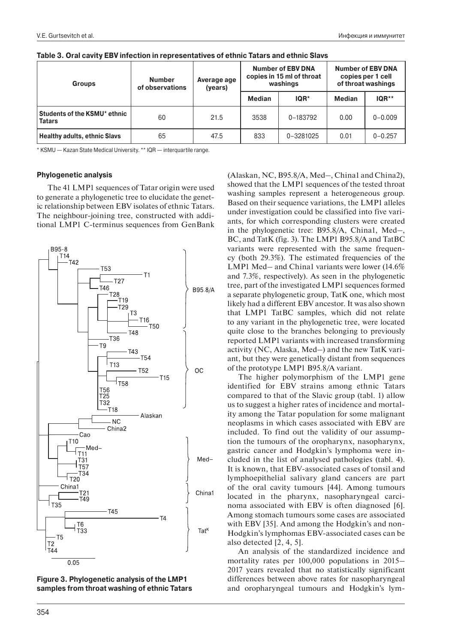| <b>Groups</b>                                 | <b>Number</b><br>of observations | Average age<br>(years) | <b>Number of EBV DNA</b><br>copies in 15 ml of throat<br>washings |           | <b>Number of EBV DNA</b><br>copies per 1 cell<br>of throat washings |             |
|-----------------------------------------------|----------------------------------|------------------------|-------------------------------------------------------------------|-----------|---------------------------------------------------------------------|-------------|
|                                               |                                  |                        | <b>Median</b>                                                     | $IQR^*$   | <b>Median</b>                                                       | $IQR**$     |
| Students of the KSMU* ethnic<br><b>Tatars</b> | 60                               | 21.5                   | 3538                                                              | 0-183792  | 0.00                                                                | $0 - 0.009$ |
| <b>Healthy adults, ethnic Slavs</b>           | 65                               | 47.5                   | 833                                                               | 0-3281025 | 0.01                                                                | $0 - 0.257$ |

|  | Table 3. Oral cavity EBV infection in representatives of ethnic Tatars and ethnic Slavs |  |
|--|-----------------------------------------------------------------------------------------|--|
|  |                                                                                         |  |

\* KSMU — Kazan State Medical University. \*\* IQR — interquartile range.

### **Phylogenetic analysis**

The 41 LMP1 sequences of Tatar origin were used to generate a phylogenetic tree to elucidate the genetic relationship between EBV isolates of ethnic Tatars. The neighbour-joining tree, constructed with additional LMP1 C-terminus sequences from GenBank



**Figure 3. Phylogenetic analysis of the LMP1 samples from throat washing of ethnic Tatars**

(Alaskan, NC, B95.8/A, Med–, China1 and China2), showed that the LMP1 sequences of the tested throat washing samples represent a heterogeneous group. Based on their sequence variations, the LMP1 alleles under investigation could be classified into five variants, for which corresponding clusters were created in the phylogenetic tree: B95.8/A, China1, Med–, BC, and TatK (fig. 3). The LMP1 B95.8/A and TatBC variants were represented with the same frequency (both 29.3%). The estimated frequencies of the LMP1 Med– and China1 variants were lower (14.6% and 7.3%, respectively). As seen in the phylogenetic tree, part of the investigated LMP1 sequences formed a separate phylogenetic group, TatK one, which most likely had a different EBV ancestor. It was also shown that LMP1 TatBC samples, which did not relate to any variant in the phylogenetic tree, were located quite close to the branches belonging to previously reported LMP1 variants with increased transforming activity (NC, Alaska, Med–) and the new TatK variant, but they were genetically distant from sequences of the prototype LMP1 B95.8/A variant.

The higher polymorphism of the LMP1 gene identified for EBV strains among ethnic Tatars compared to that of the Slavic group (tabl. 1) allow us to suggest a higher rates of incidence and mortality among the Tatar population for some malignant neoplasms in which cases associated with EBV are included. To find out the validity of our assumption the tumours of the oropharynx, nasopharynx, gastric cancer and Hodgkin's lymphoma were included in the list of analysed pathologies (tabl. 4). It is known, that EBV-associated cases of tonsil and lymphoepithelial salivary gland cancers are part of the oral cavity tumours [44]. Among tumours located in the pharynx, nasopharyngeal carcinoma associated with EBV is often diagnosed [6]. Among stomach tumours some cases are associated with EBV [35]. And among the Hodgkin's and non-Hodgkin's lymphomas EBV-associated cases can be also detected [2, 4, 5].

An analysis of the standardized incidence and mortality rates per 100,000 populations in 2015– 2017 years revealed that no statistically significant differences between above rates for nasopharyngeal and oropharyngeal tumours and Hodgkin's lym-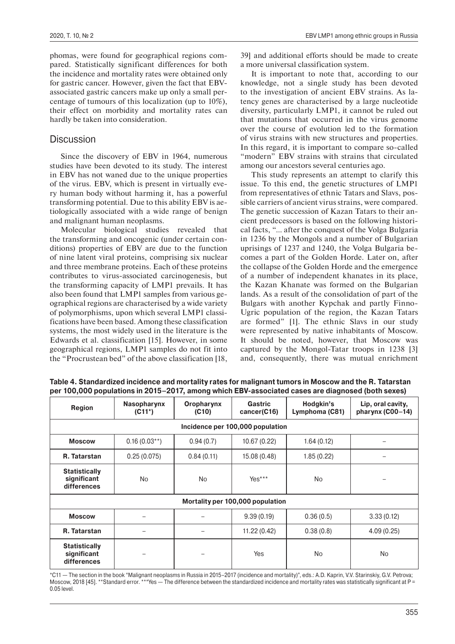phomas, were found for geographical regions compared. Statistically significant differences for both the incidence and mortality rates were obtained only for gastric cancer. However, given the fact that EBVassociated gastric cancers make up only a small percentage of tumours of this localization (up to 10%), their effect on morbidity and mortality rates can hardly be taken into consideration.

## **Discussion**

Since the discovery of EBV in 1964, numerous studies have been devoted to its study. The interest in EBV has not waned due to the unique properties of the virus. EBV, which is present in virtually every human body without harming it, has a powerful transforming potential. Due to this ability EBV is aetiologically associated with a wide range of benign and malignant human neoplasms.

Molecular biological studies revealed that the transforming and oncogenic (under certain conditions) properties of EBV are due to the function of nine latent viral proteins, comprising six nuclear and three membrane proteins. Each of these proteins contributes to virus-associated carcinogenesis, but the transforming capacity of LMP1 prevails. It has also been found that LMP1 samples from various geographical regions are characterised by a wide variety of polymorphisms, upon which several LMP1 classifications have been based. Among these classification systems, the most widely used in the literature is the Edwards et al. classification [15]. However, in some geographical regions, LMP1 samples do not fit into the "Procrustean bed" of the above classification [18,

39] and additional efforts should be made to create a more universal classification system.

It is important to note that, according to our knowledge, not a single study has been devoted to the investigation of ancient EBV strains. As latency genes are characterised by a large nucleotide diversity, particularly LMP1, it cannot be ruled out that mutations that occurred in the virus genome over the course of evolution led to the formation of virus strains with new structures and properties. In this regard, it is important to compare so-called "modern" EBV strains with strains that circulated among our ancestors several centuries ago.

This study represents an attempt to clarify this issue. To this end, the genetic structures of LMP1 from representatives of ethnic Tatars and Slavs, possible carriers of ancient virus strains, were compared. The genetic succession of Kazan Tatars to their ancient predecessors is based on the following historical facts, "... after the conquest of the Volga Bulgaria in 1236 by the Mongols and a number of Bulgarian uprisings of 1237 and 1240, the Volga Bulgaria becomes a part of the Golden Horde. Later on, after the collapse of the Golden Horde and the emergence of a number of independent khanates in its place, the Kazan Khanate was formed on the Bulgarian lands. As a result of the consolidation of part of the Bulgars with another Kypchak and partly Finno-Ugric population of the region, the Kazan Tatars are formed" [1]. The ethnic Slavs in our study were represented by native inhabitants of Moscow. It should be noted, however, that Moscow was captured by the Mongol-Tatar troops in 1238 [3] and, consequently, there was mutual enrichment

| <b>Region</b>                                      | <b>Nasopharynx</b><br>$(C11^*)$  | Oropharynx<br>(C10) | Gastric<br>cancer(C16)           | Hodgkin's<br>Lymphoma (C81) | Lip, oral cavity,<br>pharynx (C00-14) |  |  |  |  |
|----------------------------------------------------|----------------------------------|---------------------|----------------------------------|-----------------------------|---------------------------------------|--|--|--|--|
|                                                    | Incidence per 100,000 population |                     |                                  |                             |                                       |  |  |  |  |
| <b>Moscow</b>                                      | $0.16(0.03**)$                   | 0.94(0.7)           | 10.67 (0.22)                     | 1.64(0.12)                  |                                       |  |  |  |  |
| R. Tatarstan                                       | 0.25(0.075)                      | 0.84(0.11)          | 15.08 (0.48)                     | 1.85(0.22)                  |                                       |  |  |  |  |
| <b>Statistically</b><br>significant<br>differences | <b>No</b>                        | <b>No</b>           | Yes***                           | <b>No</b>                   |                                       |  |  |  |  |
|                                                    |                                  |                     | Mortality per 100,000 population |                             |                                       |  |  |  |  |
| <b>Moscow</b>                                      |                                  |                     | 9.39(0.19)                       | 0.36(0.5)                   | 3.33(0.12)                            |  |  |  |  |
| R. Tatarstan                                       |                                  |                     | 11.22(0.42)                      | 0.38(0.8)                   | 4.09(0.25)                            |  |  |  |  |
| <b>Statistically</b><br>significant<br>differences |                                  |                     | Yes                              | N <sub>o</sub>              | <b>No</b>                             |  |  |  |  |

**Table 4. Standardized incidence and mortality rates for malignant tumors in Moscow and the R. Tatarstan per 100,000 populations in 2015–2017, among which EBV-associated cases are diagnosed (both sexes)**

\*C11 — The section in the book "Malignant neoplasms in Russia in 2015–2017 (incidence and mortality)", eds.: А.D. Kaprin, V.V. Starinskiy, G.V. Petrova; Moscow, 2018 [45]. \*\*Standard error. \*\*\*Yes — The difference between the standardized incidence and mortality rates was statistically significant at P = 0.05 level.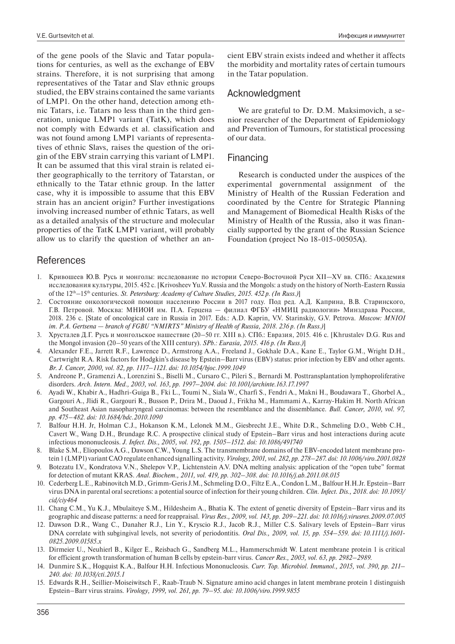of the gene pools of the Slavic and Tatar populations for centuries, as well as the exchange of EBV strains. Therefore, it is not surprising that among representatives of the Tatar and Slav ethnic groups studied, the EBV strains contained the same variants of LMP1. On the other hand, detection among ethnic Tatars, i.e. Tatars no less than in the third generation, unique LMP1 variant (TatK), which does not comply with Edwards et al. classification and was not found among LMP1 variants of representatives of ethnic Slavs, raises the question of the origin of the EBV strain carrying this variant of LMP1. It can be assumed that this viral strain is related either geographically to the territory of Tatarstan, or ethnically to the Tatar ethnic group. In the latter case, why it is impossible to assume that this EBV strain has an ancient origin? Further investigations involving increased number of ethnic Tatars, as well as a detailed analysis of the structure and molecular properties of the TatK LMP1 variant, will probably allow us to clarify the question of whether an an-

# **References**

- 1. Кривошеев Ю.В. Русь и монголы: исследование по истории Северо-Восточной Руси XII—XV вв. СПб.: Академия исследования культуры, 2015. 452 с. [Krivosheev Yu.V. Russia and the Mongols: a study on the history of North-Eastern Russia of the 12th–15th centuries. *St. Petersburg: Academy of Culture Studies, 2015. 452 p. (In Russ.)*]
- 2. Состояние онкологической помощи населению России в 2017 году. Под ред. А.Д. Каприна, В.В. Старинского, Г.В. Петровой. Москва: МНИОИ им. П.А. Герцена — филиал ФГБУ «НМИЦ радиологии» Минздрава России, 2018. 236 c. [State of oncological care in Russia in 2017. Eds.: А.D. Kaprin, V.V. Starinskiy, G.V. Petrova. *Moscow: MNIOI im. P.A. Gertsena — branch of FGBU "NMIRTS" Ministry of Health of Russia, 2018. 236 p. (In Russ.)*]
- 3. Хрусталев Д.Г. Русь и монгольское нашествие (20–50 гг. XIII в.). СПб.: Евразия, 2015. 416 с. [Khrustalev D.G. Rus and the Mongol invasion (20–50 years of the XIII century). *SPb.: Eurasia, 2015. 416 p. (In Russ.)*]
- 4. Alexander F.E., Jarrett R.F., Lawrence D., Armstrong A.A., Freeland J., Gokhale D.A., Kane E., Taylor G.M., Wright D.H., Cartwright R.A. Risk factors for Hodgkin's disease by Epstein–Barr virus (EBV) status: prior infection by EBV and other agents*. Br. J. Cancer, 2000, vol. 82, pp. 1117–1121. doi: 10.1054/bjoc.1999.1049*
- 5. Andreone P., Gramenzi A., Lorenzini S., Biselli M., Cursaro C., Pileri S., Bernardi M. Posttransplantation lymphoproliferative disorders*. Arch. Intern. Med., 2003, vol. 163, pp. 1997–2004. doi: 10.1001/archinte.163.17.1997*
- 6. Ayadi W., Khabir A., Hadhri-Guiga B., Fki L., Toumi N., Siala W., Charfi S., Fendri A., Makni H., Boudawara T., Ghorbel A., Gargouri A., Jlidi R., Gargouri R., Busson P., Drira M., Daoud J., Frikha M., Hammami A., Karray-Hakim H. North African and Southeast Asian nasopharyngeal carcinomas: between the resemblance and the dissemblance*. Bull. Cancer, 2010, vol. 97, pp. 475–482. doi: 10.1684/bdc.2010.1090*
- 7. Balfour H.H. Jr, Holman C.J., Hokanson K.M., Lelonek M.M., Giesbrecht J.E., White D.R., Schmeling D.O., Webb C.H., Cavert W., Wang D.H., Brundage R.C. A prospective clinical study of Epstein–Barr virus and host interactions during acute infectious mononucleosis*. J. Infect. Dis., 2005, vol. 192, pp. 1505–1512. doi: 10.1086/491740*
- 8. Blake S.M., Eliopoulos A.G., Dawson C.W., Young L.S. The transmembrane domains of the EBV-encoded latent membrane protein 1 (LMP1) variant CAO regulate enhanced signalling activity*. Virology, 2001, vol. 282, pp. 278–287. doi: 10.1006/viro.2001.0828*
- 9. Botezatu I.V., Kondratova V.N., Shelepov V.P., Lichtenstein A.V. DNA melting analysis: application of the "open tube" format for detection of mutant KRAS*. Anal. Biochem., 2011, vol. 419, pp. 302–308. doi: 10.1016/j.ab.2011.08.015*
- 10. Cederberg L.E., Rabinovitch M.D., Grimm-Geris J.M., Schmeling D.O., Filtz E.A., Condon L.M., Balfour H.H.Jr. Epstein–Barr virus DNA in parental oral secretions: a potential source of infection for their young children*. Clin. Infect. Dis., 2018. doi: 10.1093/ cid/ciy464*
- 11. Chang C.M., Yu K.J., Mbulaiteye S.M., Hildesheim A., Bhatia K. The extent of genetic diversity of Epstein–Barr virus and its geographic and disease patterns: a need for reappraisal*. Virus Res., 2009, vol. 143, pp. 209–221. doi: 10.1016/j.virusres.2009.07.005*
- 12. Dawson D.R., Wang C., Danaher R.J., Lin Y., Kryscio R.J., Jacob R.J., Miller C.S. Salivary levels of Epstein–Barr virus DNA correlate with subgingival levels, not severity of periodontitis*. Oral Dis., 2009, vol. 15, pp. 554–559. doi: 10.1111/j.1601- 0825.2009.01585.x*
- 13. Dirmeier U., Neuhierl B., Kilger E., Reisbach G., Sandberg M.L., Hammerschmidt W. Latent membrane protein 1 is critical for efficient growth transformation of human B cells by epstein-barr virus*. Cancer Res., 2003, vol. 63, pp. 2982–2989.*
- 14. Dunmire S.K., Hogquist K.A., Balfour H.H. Infectious Mononucleosis*. Curr. Top. Microbiol. Immunol., 2015, vol. 390, pp. 211– 240. doi: 10.1038/cti.2015.1*
- 15. Edwards R.H., Seillier-Moiseiwitsch F., Raab-Traub N. Signature amino acid changes in latent membrane protein 1 distinguish Epstein–Barr virus strains*. Virology, 1999, vol. 261, pp. 79–95. doi: 10.1006/viro.1999.9855*

## Acknowledgment

We are grateful to Dr. D.M. Maksimovich, a senior researcher of the Department of Epidemiology and Prevention of Tumours, for statistical processing of our data.

## Financing

Research is conducted under the auspices of the experimental governmental assignment of the Ministry of Health of the Russian Federation and coordinated by the Centre for Strategic Planning and Management of Biomedical Health Risks of the Ministry of Health of the Russia, also it was financially supported by the grant of the Russian Science Foundation (project No 18-015-00505А).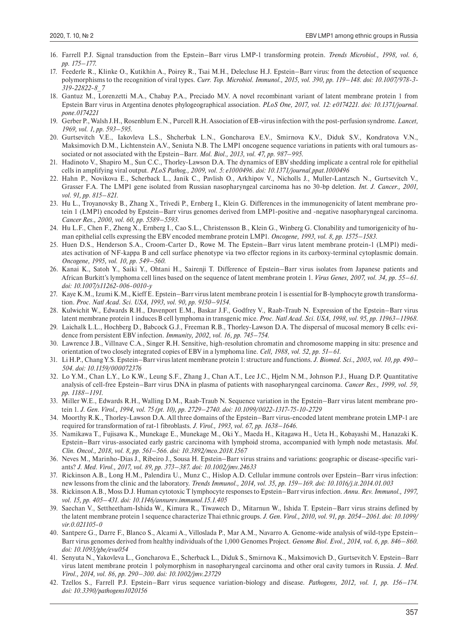- 16. Farrell P.J. Signal transduction from the Epstein–Barr virus LMP-1 transforming protein*. Trends Microbiol., 1998, vol. 6, pp. 175–177.*
- 17. Feederle R., Klinke O., Kutikhin A., Poirey R., Tsai M.H., Delecluse H.J. Epstein–Barr virus: from the detection of sequence polymorphisms to the recognition of viral types*. Curr. Top. Microbiol. Immunol., 2015, vol. 390, pp. 119–148. doi: 10.1007/978-3- 319-22822-8\_7*
- 18. Gantuz M., Lorenzetti M.A., Chabay P.A., Preciado M.V. A novel recombinant variant of latent membrane protein 1 from Epstein Barr virus in Argentina denotes phylogeographical association*. PLoS One, 2017, vol. 12: e0174221. doi: 10.1371/journal. pone.0174221*
- 19. Gerber P., Walsh J.H., Rosenblum E.N., Purcell R.H. Association of EB-virus infection with the post-perfusion syndrome*. Lancet, 1969, vol. 1, pp. 593–595.*
- 20. Gurtsevitch V.E., Iakovleva L.S., Shcherbak L.N., Goncharova E.V., Smirnova K.V., Diduk S.V., Kondratova V.N., Maksimovich D.M., Lichtenstein A.V., Seniuta N.B. The LMP1 oncogene sequence variations in patients with oral tumours associated or not associated with the Epstein–Barr*. Mol. Biol., 2013, vol. 47, pp. 987–995.*
- 21. Hadinoto V., Shapiro M., Sun C.C., Thorley-Lawson D.A. The dynamics of EBV shedding implicate a central role for epithelial cells in amplifying viral output*. PLoS Pathog., 2009, vol. 5: e1000496. doi: 10.1371/journal.ppat.1000496*
- 22. Hahn P., Novikova E., Scherback L., Janik C., Pavlish O., Arkhipov V., Nicholls J., Muller-Lantzsch N., Gurtsevitch V., Grasser F.A. The LMP1 gene isolated from Russian nasopharyngeal carcinoma has no 30-bp deletion*. Int. J. Cancer., 2001, vol. 91, pp. 815–821.*
- 23. Hu L., Troyanovsky B., Zhang X., Trivedi P., Ernberg I., Klein G. Differences in the immunogenicity of latent membrane protein 1 (LMP1) encoded by Epstein–Barr virus genomes derived from LMP1-positive and -negative nasopharyngeal carcinoma*. Cancer Res., 2000, vol. 60, pp. 5589–5593.*
- 24. Hu L.F., Chen F., Zheng X., Ernberg I., Cao S.L., Christensson B., Klein G., Winberg G. Clonability and tumorigenicity of human epithelial cells expressing the EBV encoded membrane protein LMP1*. Oncogene, 1993, vol. 8, pp. 1575–1583.*
- 25. Huen D.S., Henderson S.A., Croom-Carter D., Rowe M. The Epstein–Barr virus latent membrane protein-1 (LMP1) mediates activation of NF-kappa B and cell surface phenotype via two effector regions in its carboxy-terminal cytoplasmic domain*. Oncogene, 1995, vol. 10, pp. 549–560.*
- 26. Kanai K., Satoh Y., Saiki Y., Ohtani H., Sairenji T. Difference of Epstein–Barr virus isolates from Japanese patients and African Burkitt's lymphoma cell lines based on the sequence of latent membrane protein 1. *Virus Genes, 2007, vol. 34, pp. 55–61. doi: 10.1007/s11262-006-0010-y*
- 27. Kaye K.M., Izumi K.M., Kieff E. Epstein–Barr virus latent membrane protein 1 is essential for B-lymphocyte growth transformation*. Proc. Natl Acad. Sci. USA, 1993, vol. 90, pp. 9150–9154.*
- 28. Kulwichit W., Edwards R.H., Davenport E.M., Baskar J.F., Godfrey V., Raab-Traub N. Expression of the Epstein–Barr virus latent membrane protein 1 induces B cell lymphoma in transgenic mice*. Proc. Natl Acad. Sci. USA, 1998, vol. 95, pp. 11963–11968.*
- 29. Laichalk L.L., Hochberg D., Babcock G.J., Freeman R.B., Thorley-Lawson D.A. The dispersal of mucosal memory B cells: evidence from persistent EBV infection*. Immunity, 2002, vol. 16, pp. 745–754.*
- 30. Lawrence J.B., Villnave C.A., Singer R.H. Sensitive, high-resolution chromatin and chromosome mapping in situ: presence and orientation of two closely integrated copies of EBV in a lymphoma line*. Cell, 1988, vol. 52, pp. 51–61.*
- 31. Li H.P., Chang Y.S. Epstein–Barr virus latent membrane protein 1: structure and functions*. J. Biomed. Sci., 2003, vol. 10, pp. 490– 504. doi: 10.1159/000072376*
- 32. Lo Y.M., Chan L.Y., Lo K.W., Leung S.F., Zhang J., Chan A.T., Lee J.C., Hjelm N.M., Johnson P.J., Huang D.P. Quantitative analysis of cell-free Epstein–Barr virus DNA in plasma of patients with nasopharyngeal carcinoma*. Cancer Res., 1999, vol. 59, pp. 1188–1191.*
- 33. Miller W.E., Edwards R.H., Walling D.M., Raab-Traub N. Sequence variation in the Epstein–Barr virus latent membrane protein 1*. J. Gen. Virol., 1994, vol. 75 (pt. 10), pp. 2729–2740. doi: 10.1099/0022-1317-75-10-2729*
- 34. Moorthy R.K., Thorley-Lawson D.A. All three domains of the Epstein–Barr virus-encoded latent membrane protein LMP-1 are required for transformation of rat-1 fibroblasts*. J. Virol., 1993, vol. 67, pp. 1638–1646.*
- 35. Namikawa T., Fujisawa K., Munekage E., Munekage M., Oki Y., Maeda H., Kitagawa H., Ueta H., Kobayashi M., Hanazaki K. Epstein–Barr virus-associated early gastric carcinoma with lymphoid stroma, accompanied with lymph node metastasis*. Mol. Clin. Oncol., 2018, vol. 8, pp. 561–566. doi: 10.3892/mco.2018.1567*
- 36. Neves M., Marinho-Dias J., Ribeiro J., Sousa H. Epstein–Barr virus strains and variations: geographic or disease-specific variants? *J. Med. Virol., 2017, vol. 89, pp. 373–387. doi: 10.1002/jmv.24633*
- 37. Rickinson A.B., Long H.M., Palendira U., Munz C., Hislop A.D. Cellular immune controls over Epstein–Barr virus infection: new lessons from the clinic and the laboratory*. Trends Immunol., 2014, vol. 35, pp. 159–169. doi: 10.1016/j.it.2014.01.003*
- 38. Rickinson A.B., Moss D.J. Human cytotoxic T lymphocyte responses to Epstein–Barr virus infection*. Annu. Rev. Immunol., 1997, vol. 15, pp. 405–431. doi: 10.1146/annurev.immunol.15.1.405*
- 39. Saechan V., Settheetham-Ishida W., Kimura R., Tiwawech D., Mitarnun W., Ishida T. Epstein–Barr virus strains defined by the latent membrane protein 1 sequence characterize Thai ethnic groups*. J. Gen. Virol., 2010, vol. 91, pp. 2054–2061. doi: 10.1099/ vir.0.021105-0*
- 40. Santpere G., Darre F., Blanco S., Alcami A., Villoslada P., Mar A.M., Navarro A. Genome-wide analysis of wild-type Epstein– Barr virus genomes derived from healthy individuals of the 1,000 Genomes Project*. Genome Biol. Evol., 2014, vol. 6, pp. 846–860. doi: 10.1093/gbe/evu054*
- 41. Senyuta N., Yakovleva L., Goncharova E., Scherback L., Diduk S., Smirnova K., Maksimovich D., Gurtsevitch V. Epstein–Barr virus latent membrane protein 1 polymorphism in nasopharyngeal carcinoma and other oral cavity tumors in Russia*. J. Med. Virol., 2014, vol. 86, pp. 290–300. doi: 10.1002/jmv.23729*
- 42. Tzellos S., Farrell P.J. Epstein–Barr virus sequence variation-biology and disease*. Pathogens, 2012, vol. 1, pp. 156–174. doi: 10.3390/pathogens1020156*